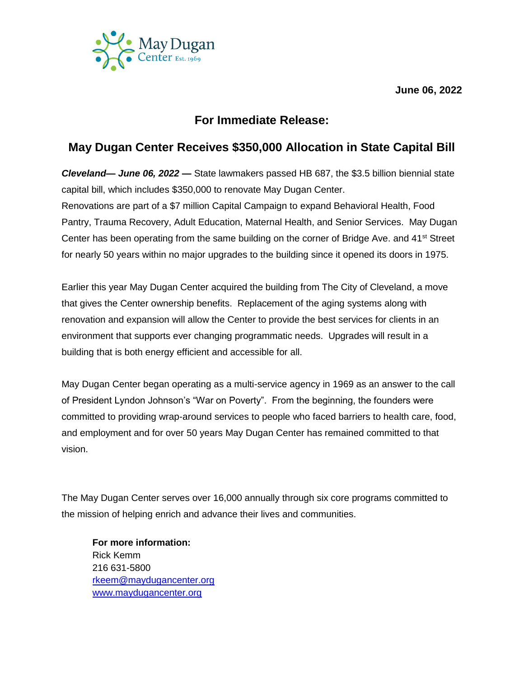**June 06, 2022**



## **For Immediate Release:**

## **May Dugan Center Receives \$350,000 Allocation in State Capital Bill**

*Cleveland— June 06, 2022 —* State lawmakers passed HB 687, the \$3.5 billion biennial state capital bill, which includes \$350,000 to renovate May Dugan Center.

Renovations are part of a \$7 million Capital Campaign to expand Behavioral Health, Food Pantry, Trauma Recovery, Adult Education, Maternal Health, and Senior Services. May Dugan Center has been operating from the same building on the corner of Bridge Ave. and 41<sup>st</sup> Street for nearly 50 years within no major upgrades to the building since it opened its doors in 1975.

Earlier this year May Dugan Center acquired the building from The City of Cleveland, a move that gives the Center ownership benefits. Replacement of the aging systems along with renovation and expansion will allow the Center to provide the best services for clients in an environment that supports ever changing programmatic needs. Upgrades will result in a building that is both energy efficient and accessible for all.

May Dugan Center began operating as a multi-service agency in 1969 as an answer to the call of President Lyndon Johnson's "War on Poverty". From the beginning, the founders were committed to providing wrap-around services to people who faced barriers to health care, food, and employment and for over 50 years May Dugan Center has remained committed to that vision.

The May Dugan Center serves over 16,000 annually through six core programs committed to the mission of helping enrich and advance their lives and communities.

**For more information:** Rick Kemm 216 631-5800 [rkeem@maydugancenter.org](mailto:rkeem@maydugancenter.org) [www.maydugancenter.org](http://www.maydugancenter.org/)